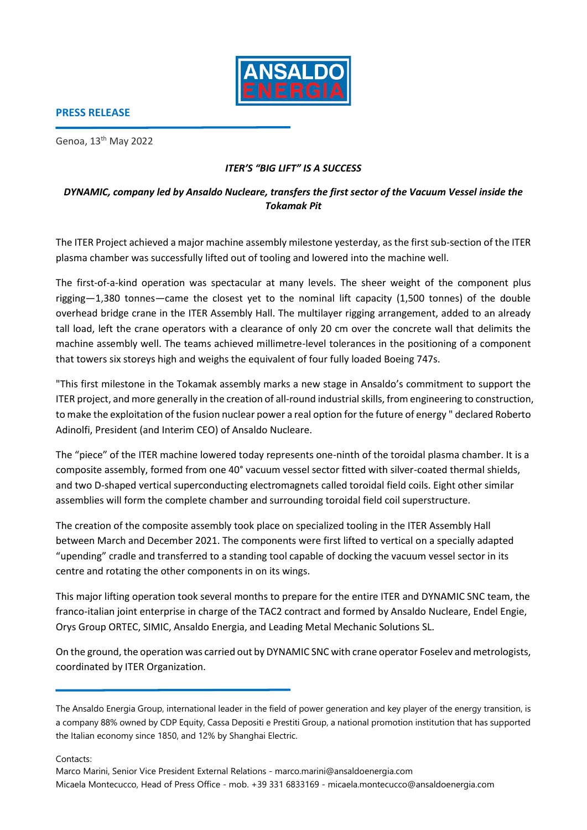

## **PRESS RELEASE**

Genoa, 13th May 2022

## *ITER'S "BIG LIFT" IS A SUCCESS*

## *DYNAMIC, company led by Ansaldo Nucleare, transfers the first sector of the Vacuum Vessel inside the Tokamak Pit*

The ITER Project achieved a major machine assembly milestone yesterday, as the first sub-section of the ITER plasma chamber was successfully lifted out of tooling and lowered into the machine well.

The first-of-a-kind operation was spectacular at many levels. The sheer weight of the component plus rigging—1,380 tonnes—came the closest yet to the nominal lift capacity (1,500 tonnes) of the double overhead bridge crane in the ITER Assembly Hall. The multilayer rigging arrangement, added to an already tall load, left the crane operators with a clearance of only 20 cm over the concrete wall that delimits the machine assembly well. The teams achieved millimetre-level tolerances in the positioning of a component that towers six storeys high and weighs the equivalent of four fully loaded Boeing 747s.

"This first milestone in the Tokamak assembly marks a new stage in Ansaldo's commitment to support the ITER project, and more generally in the creation of all-round industrial skills, from engineering to construction, to make the exploitation of the fusion nuclear power a real option for the future of energy " declared Roberto Adinolfi, President (and Interim CEO) of Ansaldo Nucleare.

The "piece" of the ITER machine lowered today represents one-ninth of the toroidal plasma chamber. It is a composite assembly, formed from one 40° vacuum vessel sector fitted with silver-coated thermal shields, and two D-shaped vertical superconducting electromagnets called toroidal field coils. Eight other similar assemblies will form the complete chamber and surrounding toroidal field coil superstructure.

The creation of the composite assembly took place on specialized tooling in the ITER Assembly Hall between March and December 2021. The components were first lifted to vertical on a specially adapted "upending" cradle and transferred to a standing tool capable of docking the vacuum vessel sector in its centre and rotating the other components in on its wings.

This major lifting operation took several months to prepare for the entire ITER and DYNAMIC SNC team, the franco-italian joint enterprise in charge of the TAC2 contract and formed by Ansaldo Nucleare, Endel Engie, Orys Group ORTEC, SIMIC, Ansaldo Energia, and Leading Metal Mechanic Solutions SL.

On the ground, the operation was carried out by DYNAMIC SNC with crane operator Foselev and metrologists, coordinated by ITER Organization.

Contacts:

The Ansaldo Energia Group, international leader in the field of power generation and key player of the energy transition, is a company 88% owned by CDP Equity, Cassa Depositi e Prestiti Group, a national promotion institution that has supported the Italian economy since 1850, and 12% by Shanghai Electric.